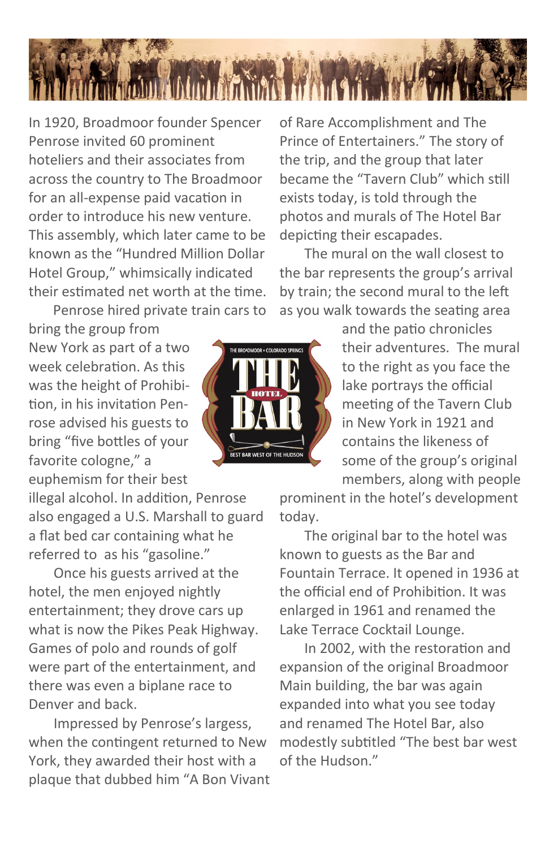

In 1920, Broadmoor founder Spencer Penrose invited 60 prominent hoteliers and their associates from across the country to The Broadmoor for an all-expense paid vacation in order to introduce his new venture. This assembly, which later came to be known as the "Hundred Million Dollar Hotel Group," whimsically indicated their estimated net worth at the time.

Penrose hired private train cars to

bring the group from New York as part of a two week celebration. As this was the height of Prohibition, in his invitation Penrose advised his guests to bring "five bottles of your favorite cologne," a euphemism for their best

illegal alcohol. In addition, Penrose also engaged a U.S. Marshall to guard a flat bed car containing what he referred to as his "gasoline."

Once his guests arrived at the hotel, the men enjoyed nightly entertainment; they drove cars up what is now the Pikes Peak Highway. Games of polo and rounds of golf were part of the entertainment, and there was even a biplane race to Denver and back.

Impressed by Penrose's largess, when the contingent returned to New York, they awarded their host with a plaque that dubbed him "A Bon Vivant



of Rare Accomplishment and The Prince of Entertainers." The story of the trip, and the group that later became the "Tavern Club" which still exists today, is told through the photos and murals of The Hotel Bar depicting their escapades.

The mural on the wall closest to the bar represents the group's arrival by train; the second mural to the left as you walk towards the seating area

> and the patio chronicles their adventures. The mural to the right as you face the lake portrays the official meeting of the Tavern Club in New York in 1921 and contains the likeness of some of the group's original members, along with people

prominent in the hotel's development today.

The original bar to the hotel was known to guests as the Bar and Fountain Terrace. It opened in 1936 at the official end of Prohibition. It was enlarged in 1961 and renamed the Lake Terrace Cocktail Lounge.

In 2002, with the restoration and expansion of the original Broadmoor Main building, the bar was again expanded into what you see today and renamed The Hotel Bar, also modestly subtitled "The best bar west of the Hudson."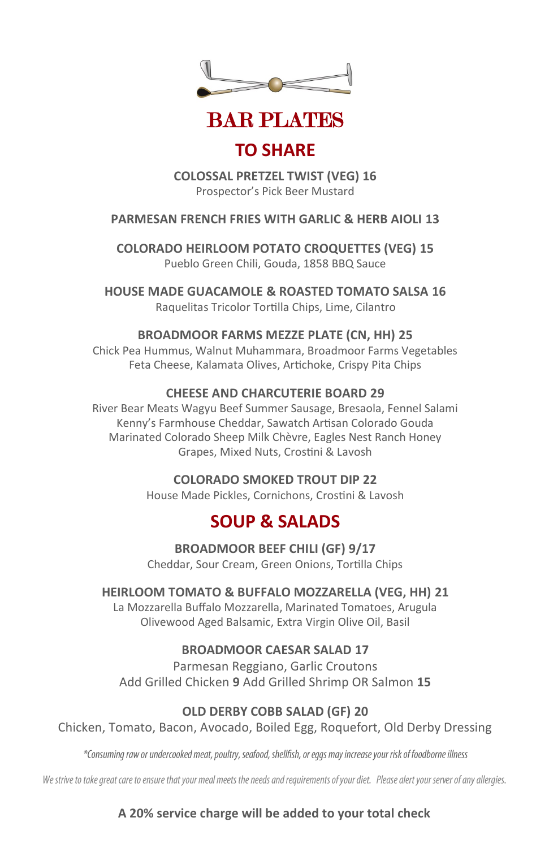



## **TO SHARE**

**COLOSSAL PRETZEL TWIST (VEG) 16** Prospector's Pick Beer Mustard

#### **PARMESAN FRENCH FRIES WITH GARLIC & HERB AIOLI 13**

**COLORADO HEIRLOOM POTATO CROQUETTES (VEG) 15** Pueblo Green Chili, Gouda, 1858 BBQ Sauce

**HOUSE MADE GUACAMOLE & ROASTED TOMATO SALSA 16** Raquelitas Tricolor Tortilla Chips, Lime, Cilantro

#### **BROADMOOR FARMS MEZZE PLATE (CN, HH) 25**

Chick Pea Hummus, Walnut Muhammara, Broadmoor Farms Vegetables Feta Cheese, Kalamata Olives, Artichoke, Crispy Pita Chips

#### **CHEESE AND CHARCUTERIE BOARD 29**

River Bear Meats Wagyu Beef Summer Sausage, Bresaola, Fennel Salami Kenny's Farmhouse Cheddar, Sawatch Artisan Colorado Gouda Marinated Colorado Sheep Milk Chèvre, Eagles Nest Ranch Honey Grapes, Mixed Nuts, Crostini & Lavosh

#### **COLORADO SMOKED TROUT DIP 22**

House Made Pickles, Cornichons, Crostini & Lavosh

## **SOUP & SALADS**

**BROADMOOR BEEF CHILI (GF) 9/17** Cheddar, Sour Cream, Green Onions, Tortilla Chips

#### **HEIRLOOM TOMATO & BUFFALO MOZZARELLA (VEG, HH) 21**

La Mozzarella Buffalo Mozzarella, Marinated Tomatoes, Arugula Olivewood Aged Balsamic, Extra Virgin Olive Oil, Basil

#### **BROADMOOR CAESAR SALAD 17**

Parmesan Reggiano, Garlic Croutons Add Grilled Chicken **9** Add Grilled Shrimp OR Salmon **15**

#### **OLD DERBY COBB SALAD (GF) 20**

Chicken, Tomato, Bacon, Avocado, Boiled Egg, Roquefort, Old Derby Dressing

\*Consuming raw or undercooked meat, poultry, seafood, shellfish, or eggs may increase your risk of foodborne illness

We strive to take great care to ensure that your meal meets the needs and requirements of your diet. Please alert your server of any allergies.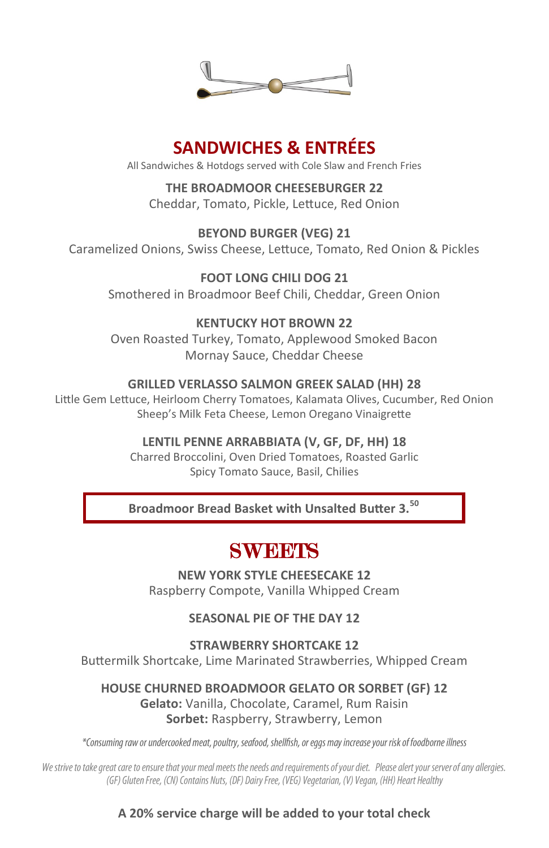

## **SANDWICHES & ENTRÉES**

All Sandwiches & Hotdogs served with Cole Slaw and French Fries

**THE BROADMOOR CHEESEBURGER 22** Cheddar, Tomato, Pickle, Lettuce, Red Onion

**BEYOND BURGER (VEG) 21** Caramelized Onions, Swiss Cheese, Lettuce, Tomato, Red Onion & Pickles

**FOOT LONG CHILI DOG 21** Smothered in Broadmoor Beef Chili, Cheddar, Green Onion

#### **KENTUCKY HOT BROWN 22**

Oven Roasted Turkey, Tomato, Applewood Smoked Bacon Mornay Sauce, Cheddar Cheese

#### **GRILLED VERLASSO SALMON GREEK SALAD (HH) 28**

Little Gem Lettuce, Heirloom Cherry Tomatoes, Kalamata Olives, Cucumber, Red Onion Sheep's Milk Feta Cheese, Lemon Oregano Vinaigrette

#### **LENTIL PENNE ARRABBIATA (V, GF, DF, HH) 18**

Charred Broccolini, Oven Dried Tomatoes, Roasted Garlic Spicy Tomato Sauce, Basil, Chilies

**Broadmoor Bread Basket with Unsalted Butter 3.<sup>50</sup>**

# **SWEETS**

**NEW YORK STYLE CHEESECAKE 12** Raspberry Compote, Vanilla Whipped Cream

**SEASONAL PIE OF THE DAY 12**

**STRAWBERRY SHORTCAKE 12** Buttermilk Shortcake, Lime Marinated Strawberries, Whipped Cream

**HOUSE CHURNED BROADMOOR GELATO OR SORBET (GF) 12 Gelato:** Vanilla, Chocolate, Caramel, Rum Raisin **Sorbet:** Raspberry, Strawberry, Lemon

\*Consuming raw or undercooked meat, poultry, seafood, shellfish, or eggs may increase your risk of foodborne illness

We strive to take great care to ensure that your meal meets the needs and requirements of your diet. Please alert your server of any allergies. (GF) Gluten Free, (CN) Contains Nuts, (DF) Dairy Free, (VEG) Vegetarian, (V) Vegan, (HH) Heart Healthy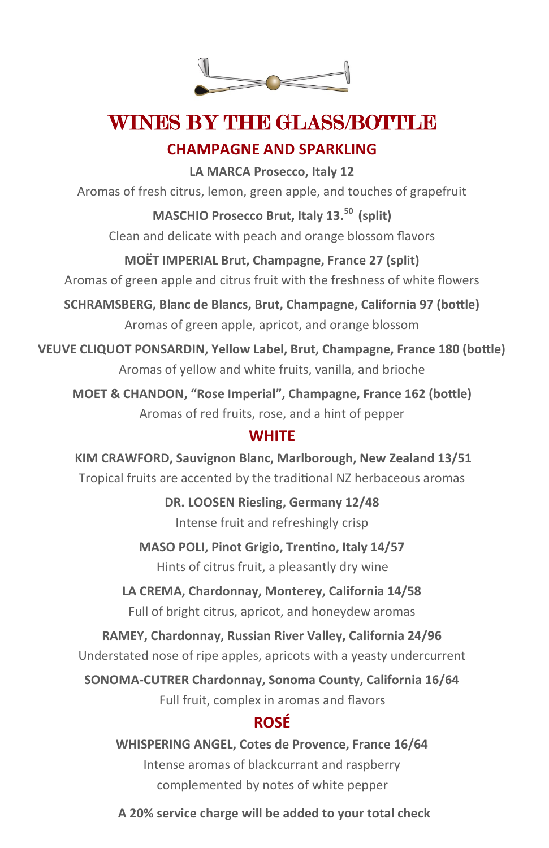

# WINES BY THE GLASS/BOTTLE

### **CHAMPAGNE AND SPARKLING**

**LA MARCA Prosecco, Italy 12** Aromas of fresh citrus, lemon, green apple, and touches of grapefruit **MASCHIO Prosecco Brut, Italy 13.<sup>50</sup>(split)** Clean and delicate with peach and orange blossom flavors **MOËT IMPERIAL Brut, Champagne, France 27 (split)** Aromas of green apple and citrus fruit with the freshness of white flowers **SCHRAMSBERG, Blanc de Blancs, Brut, Champagne, California 97 (bottle)**

Aromas of green apple, apricot, and orange blossom

**VEUVE CLIQUOT PONSARDIN, Yellow Label, Brut, Champagne, France 180 (bottle)** Aromas of yellow and white fruits, vanilla, and brioche

**MOET & CHANDON, "Rose Imperial", Champagne, France 162 (bottle)** Aromas of red fruits, rose, and a hint of pepper

### **WHITE**

**KIM CRAWFORD, Sauvignon Blanc, Marlborough, New Zealand 13/51** Tropical fruits are accented by the traditional NZ herbaceous aromas

> **DR. LOOSEN Riesling, Germany 12/48** Intense fruit and refreshingly crisp

**MASO POLI, Pinot Grigio, Trentino, Italy 14/57** Hints of citrus fruit, a pleasantly dry wine

**LA CREMA, Chardonnay, Monterey, California 14/58** Full of bright citrus, apricot, and honeydew aromas

**RAMEY, Chardonnay, Russian River Valley, California 24/96**

Understated nose of ripe apples, apricots with a yeasty undercurrent

**SONOMA-CUTRER Chardonnay, Sonoma County, California 16/64** Full fruit, complex in aromas and flavors

### **ROSÉ**

**WHISPERING ANGEL, Cotes de Provence, France 16/64** Intense aromas of blackcurrant and raspberry complemented by notes of white pepper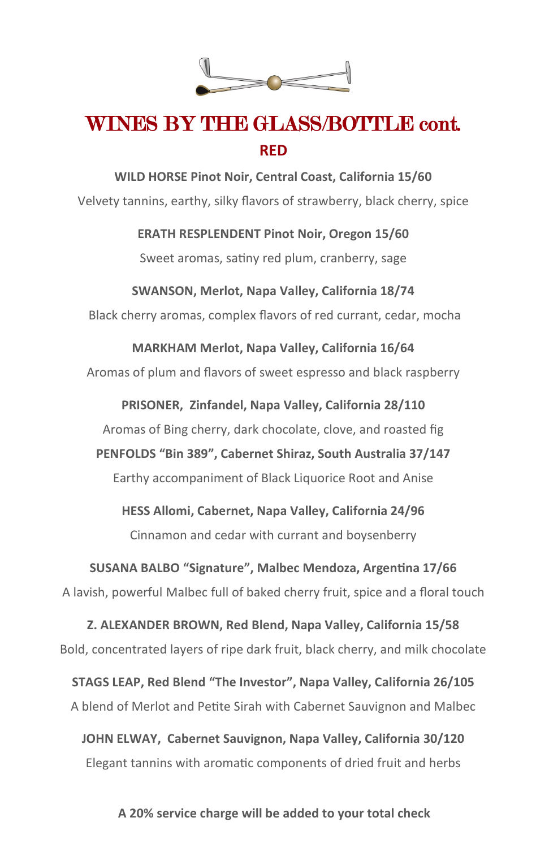

# WINES BY THE GLASS/BOTTLE cont. **RED**

**WILD HORSE Pinot Noir, Central Coast, California 15/60** Velvety tannins, earthy, silky flavors of strawberry, black cherry, spice

**ERATH RESPLENDENT Pinot Noir, Oregon 15/60**

Sweet aromas, satiny red plum, cranberry, sage

#### **SWANSON, Merlot, Napa Valley, California 18/74**

Black cherry aromas, complex flavors of red currant, cedar, mocha

**MARKHAM Merlot, Napa Valley, California 16/64** Aromas of plum and flavors of sweet espresso and black raspberry

**PRISONER, Zinfandel, Napa Valley, California 28/110** Aromas of Bing cherry, dark chocolate, clove, and roasted fig **PENFOLDS "Bin 389", Cabernet Shiraz, South Australia 37/147** Earthy accompaniment of Black Liquorice Root and Anise

**HESS Allomi, Cabernet, Napa Valley, California 24/96** Cinnamon and cedar with currant and boysenberry

**SUSANA BALBO "Signature", Malbec Mendoza, Argentina 17/66** A lavish, powerful Malbec full of baked cherry fruit, spice and a floral touch

**Z. ALEXANDER BROWN, Red Blend, Napa Valley, California 15/58** Bold, concentrated layers of ripe dark fruit, black cherry, and milk chocolate

**STAGS LEAP, Red Blend "The Investor", Napa Valley, California 26/105** A blend of Merlot and Petite Sirah with Cabernet Sauvignon and Malbec

**JOHN ELWAY, Cabernet Sauvignon, Napa Valley, California 30/120** Elegant tannins with aromatic components of dried fruit and herbs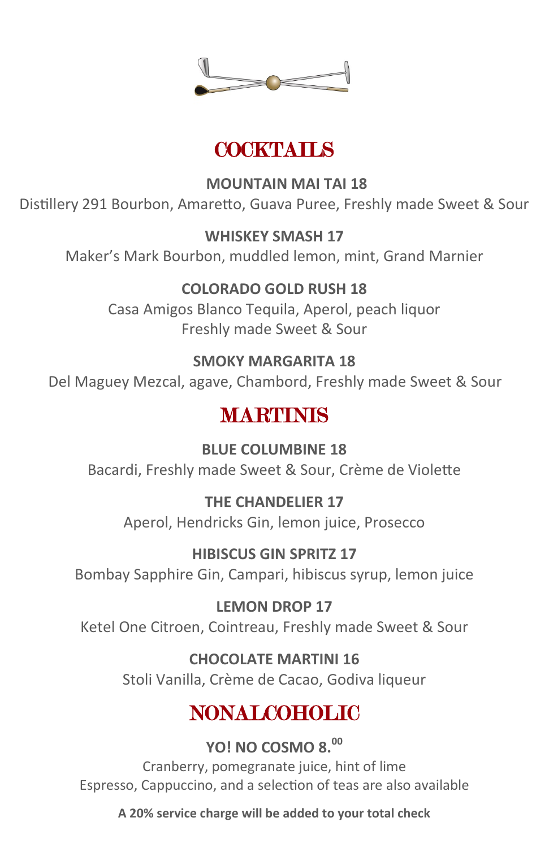

# COCKTAILS

**MOUNTAIN MAI TAI 18**

Distillery 291 Bourbon, Amaretto, Guava Puree, Freshly made Sweet & Sour

#### **WHISKEY SMASH 17**

Maker's Mark Bourbon, muddled lemon, mint, Grand Marnier

### **COLORADO GOLD RUSH 18**

Casa Amigos Blanco Tequila, Aperol, peach liquor Freshly made Sweet & Sour

### **SMOKY MARGARITA 18**

Del Maguey Mezcal, agave, Chambord, Freshly made Sweet & Sour

## **MARTINIS**

**BLUE COLUMBINE 18** Bacardi, Freshly made Sweet & Sour, Crème de Violette

## **THE CHANDELIER 17**

Aperol, Hendricks Gin, lemon juice, Prosecco

### **HIBISCUS GIN SPRITZ 17** Bombay Sapphire Gin, Campari, hibiscus syrup, lemon juice

**LEMON DROP 17** Ketel One Citroen, Cointreau, Freshly made Sweet & Sour

### **CHOCOLATE MARTINI 16**

Stoli Vanilla, Crème de Cacao, Godiva liqueur

# **NONALCOHOLIC**

**YO! NO COSMO 8.<sup>00</sup>** Cranberry, pomegranate juice, hint of lime Espresso, Cappuccino, and a selection of teas are also available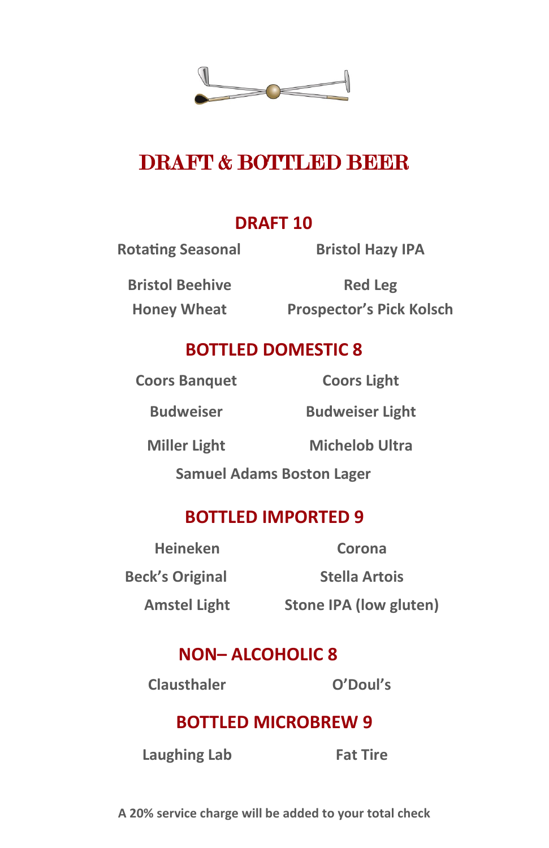

# DRAFT & BOTTLED BEER

## **DRAFT 10**

**Rotating Seasonal Bristol Hazy IPA**

**Bristol Beehive**

**Honey Wheat Prospector's Pick Kolsch Red Leg** 

## **BOTTLED DOMESTIC 8**

**Coors Banquet Coors Light**

**Budweiser Budweiser Light**

**Miller Light Michelob Ultra**

**Samuel Adams Boston Lager** 

## **BOTTLED IMPORTED 9**

**Heineken Corona Beck's Original Stella Artois**

**Amstel Light Stone IPA (low gluten)**

## **NON– ALCOHOLIC 8**

**Clausthaler O'Doul's** 

## **BOTTLED MICROBREW 9**

**Laughing Lab Fat Tire**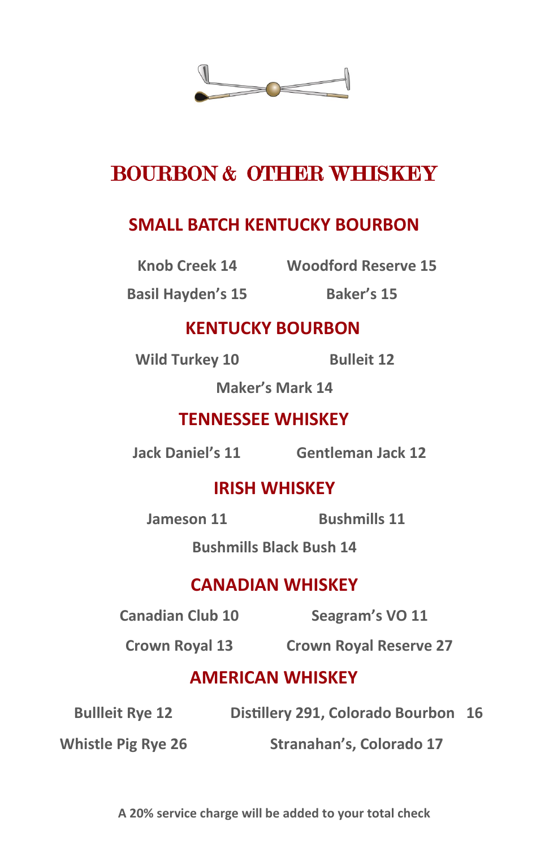

# BOURBON & OTHER WHISKEY

## **SMALL BATCH KENTUCKY BOURBON**

**Knob Creek 14 Woodford Reserve 15** 

**Basil Hayden's 15 Baker's 15**

## **KENTUCKY BOURBON**

**Wild Turkey 10 Bulleit 12**

**Maker's Mark 14**

## **TENNESSEE WHISKEY**

**Jack Daniel's 11 Gentleman Jack 12**

## **IRISH WHISKEY**

**Jameson 11 Bushmills 11**

**Bushmills Black Bush 14** 

## **CANADIAN WHISKEY**

**Canadian Club 10 Seagram's VO 11**

**Crown Royal 13 Crown Royal Reserve 27**

## **AMERICAN WHISKEY**

**Bullleit Rye 12 Distillery 291, Colorado Bourbon 16**

**Whistle Pig Rye 26 Stranahan's, Colorado 17**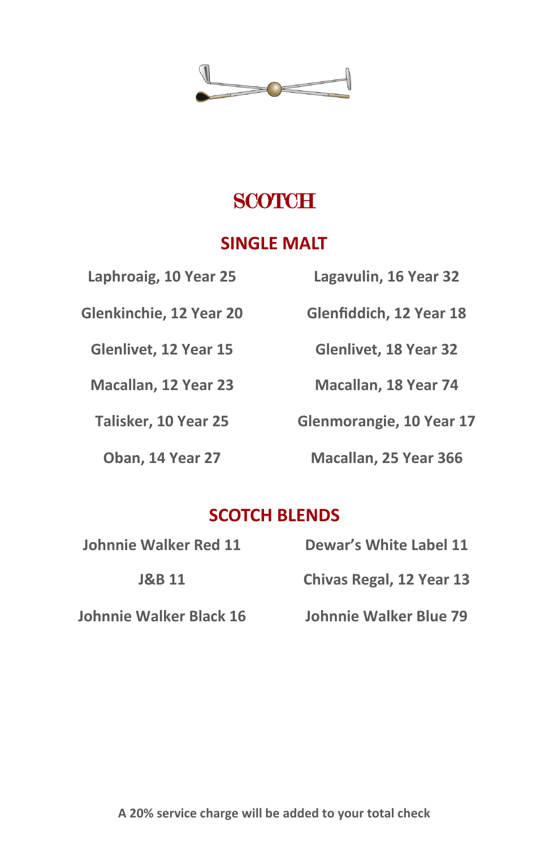

# **SCOTCH**

## **SINGLE MALT**

| Laphroaig, 10 Year 25   | Lagavulin, 16 Year 32        |
|-------------------------|------------------------------|
| Glenkinchie, 12 Year 20 | Glenfiddich, 12 Year 18      |
| Glenlivet, 12 Year 15   | <b>Glenlivet, 18 Year 32</b> |
| Macallan, 12 Year 23    | Macallan, 18 Year 74         |
| Talisker, 10 Year 25    | Glenmorangie, 10 Year 17     |
| Oban, 14 Year 27        | Macallan, 25 Year 366        |
|                         |                              |

## **SCOTCH BLENDS**

| Johnnie Walker Red 11   | Dewar's White Label 11        |
|-------------------------|-------------------------------|
| <b>J&amp;B 11</b>       | Chivas Regal, 12 Year 13      |
| Johnnie Walker Black 16 | <b>Johnnie Walker Blue 79</b> |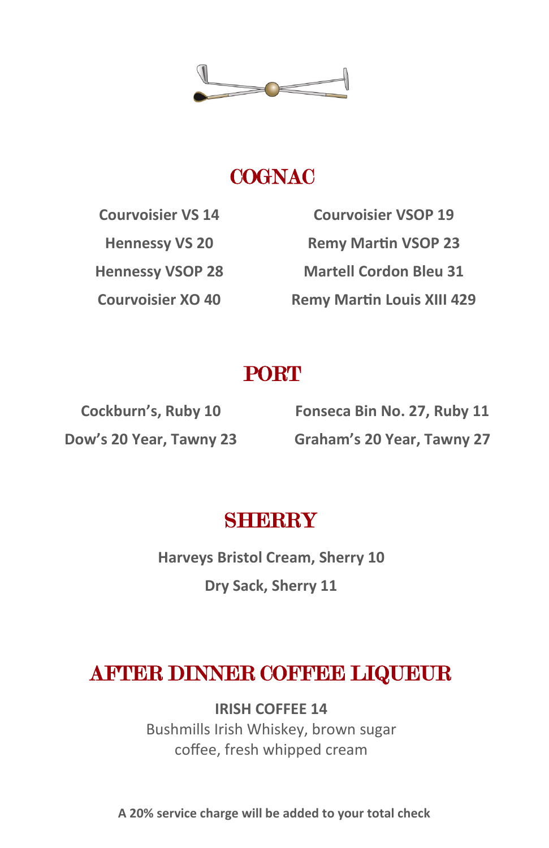

# **COGNAC**

**Courvoisier VS 14 Courvoisier VSOP 19 Hennessy VS 20 Remy Martin VSOP 23 Hennessy VSOP 28 Martell Cordon Bleu 31 Courvoisier XO 40 Remy Martin Louis XIII 429**

# **PORT**

**Cockburn's, Ruby 10 Fonseca Bin No. 27, Ruby 11 Dow's 20 Year, Tawny 23 Graham's 20 Year, Tawny 27**

# **SHERRY**

**Harveys Bristol Cream, Sherry 10 Dry Sack, Sherry 11**

# AFTER DINNER COFFEE LIQUEUR

**IRISH COFFEE 14** Bushmills Irish Whiskey, brown sugar coffee, fresh whipped cream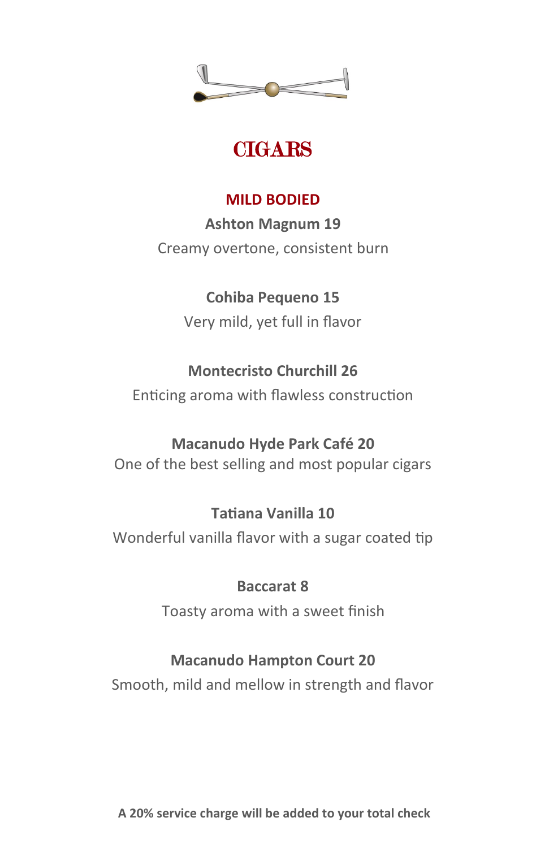

# **CIGARS**

## **MILD BODIED**

**Ashton Magnum 19** Creamy overtone, consistent burn

## **Cohiba Pequeno 15**

Very mild, yet full in flavor

## **Montecristo Churchill 26**

Enticing aroma with flawless construction

## **Macanudo Hyde Park Café 20**

One of the best selling and most popular cigars

## **Tatiana Vanilla 10**

Wonderful vanilla flavor with a sugar coated tip

## **Baccarat 8**

Toasty aroma with a sweet finish

## **Macanudo Hampton Court 20**

Smooth, mild and mellow in strength and flavor